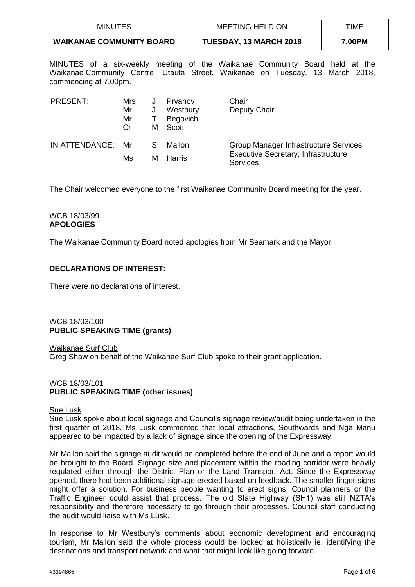| MINUTES                         | <b>MEETING HELD ON</b>        | TIME   |
|---------------------------------|-------------------------------|--------|
| <b>WAIKANAE COMMUNITY BOARD</b> | <b>TUESDAY, 13 MARCH 2018</b> | 7.00PM |

MINUTES of a six-weekly meeting of the Waikanae Community Board held at the Waikanae Community Centre, Utauta Street, Waikanae on Tuesday, 13 March 2018, commencing at 7.00pm.

| PRESENT:          | Mrs<br>Mr<br>Mr<br>Cr | J<br>м | Prvanov<br>Westbury<br>Begovich<br>Scott | Chair<br>Deputy Chair                                         |
|-------------------|-----------------------|--------|------------------------------------------|---------------------------------------------------------------|
| IN ATTENDANCE: Mr |                       | S      | Mallon                                   | Group Manager Infrastructure Services                         |
|                   | Ms                    | м      | <b>Harris</b>                            | <b>Executive Secretary, Infrastructure</b><br><b>Services</b> |

The Chair welcomed everyone to the first Waikanae Community Board meeting for the year.

# WCB 18/03/99 **APOLOGIES**

The Waikanae Community Board noted apologies from Mr Seamark and the Mayor.

# **DECLARATIONS OF INTEREST:**

There were no declarations of interest.

# WCB 18/03/100 **PUBLIC SPEAKING TIME (grants)**

Waikanae Surf Club Greg Shaw on behalf of the Waikanae Surf Club spoke to their grant application.

# WCB 18/03/101 **PUBLIC SPEAKING TIME (other issues)**

# Sue Lusk

Sue Lusk spoke about local signage and Council's signage review/audit being undertaken in the first quarter of 2018. Ms Lusk commented that local attractions, Southwards and Nga Manu appeared to be impacted by a lack of signage since the opening of the Expressway.

Mr Mallon said the signage audit would be completed before the end of June and a report would be brought to the Board. Signage size and placement within the roading corridor were heavily regulated either through the District Plan or the Land Transport Act. Since the Expressway opened, there had been additional signage erected based on feedback. The smaller finger signs might offer a solution. For business people wanting to erect signs, Council planners or the Traffic Engineer could assist that process. The old State Highway (SH1) was still NZTA's responsibility and therefore necessary to go through their processes. Council staff conducting the audit would liaise with Ms Lusk.

In response to Mr Westbury's comments about economic development and encouraging tourism, Mr Mallon said the whole process would be looked at holistically ie. identifying the destinations and transport network and what that might look like going forward.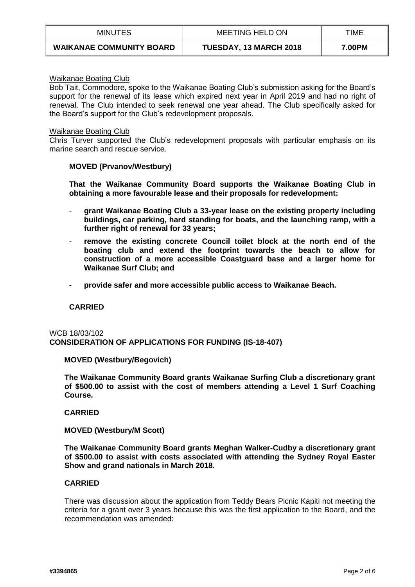| MINUTES                         | MEETING HELD ON               | TIME   |
|---------------------------------|-------------------------------|--------|
| <b>WAIKANAE COMMUNITY BOARD</b> | <b>TUESDAY, 13 MARCH 2018</b> | 7.00PM |

### Waikanae Boating Club

Bob Tait, Commodore, spoke to the Waikanae Boating Club's submission asking for the Board's support for the renewal of its lease which expired next year in April 2019 and had no right of renewal. The Club intended to seek renewal one year ahead. The Club specifically asked for the Board's support for the Club's redevelopment proposals.

### Waikanae Boating Club

Chris Turver supported the Club's redevelopment proposals with particular emphasis on its marine search and rescue service.

# **MOVED (Prvanov/Westbury)**

**That the Waikanae Community Board supports the Waikanae Boating Club in obtaining a more favourable lease and their proposals for redevelopment:**

- **grant Waikanae Boating Club a 33-year lease on the existing property including buildings, car parking, hard standing for boats, and the launching ramp, with a further right of renewal for 33 years;**
- **remove the existing concrete Council toilet block at the north end of the boating club and extend the footprint towards the beach to allow for construction of a more accessible Coastguard base and a larger home for Waikanae Surf Club; and**
- **provide safer and more accessible public access to Waikanae Beach.**

# **CARRIED**

# WCB 18/03/102 **CONSIDERATION OF APPLICATIONS FOR FUNDING (IS-18-407)**

# **MOVED (Westbury/Begovich)**

**The Waikanae Community Board grants Waikanae Surfing Club a discretionary grant of \$500.00 to assist with the cost of members attending a Level 1 Surf Coaching Course.**

#### **CARRIED**

# **MOVED (Westbury/M Scott)**

**The Waikanae Community Board grants Meghan Walker-Cudby a discretionary grant of \$500.00 to assist with costs associated with attending the Sydney Royal Easter Show and grand nationals in March 2018.**

# **CARRIED**

There was discussion about the application from Teddy Bears Picnic Kapiti not meeting the criteria for a grant over 3 years because this was the first application to the Board, and the recommendation was amended: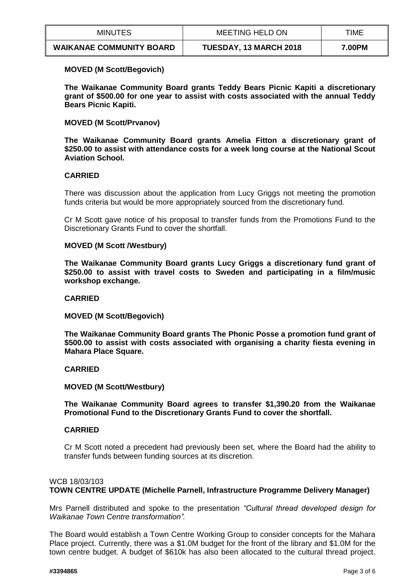| <b>MINUTES</b>                  | MEETING HELD ON               | TIME   |
|---------------------------------|-------------------------------|--------|
| <b>WAIKANAE COMMUNITY BOARD</b> | <b>TUESDAY, 13 MARCH 2018</b> | 7.00PM |

# **MOVED (M Scott/Begovich)**

**The Waikanae Community Board grants Teddy Bears Picnic Kapiti a discretionary grant of \$500.00 for one year to assist with costs associated with the annual Teddy Bears Picnic Kapiti.** 

**MOVED (M Scott/Prvanov)**

**The Waikanae Community Board grants Amelia Fitton a discretionary grant of \$250.00 to assist with attendance costs for a week long course at the National Scout Aviation School.**

# **CARRIED**

There was discussion about the application from Lucy Griggs not meeting the promotion funds criteria but would be more appropriately sourced from the discretionary fund.

Cr M Scott gave notice of his proposal to transfer funds from the Promotions Fund to the Discretionary Grants Fund to cover the shortfall.

### **MOVED (M Scott /Westbury)**

**The Waikanae Community Board grants Lucy Griggs a discretionary fund grant of \$250.00 to assist with travel costs to Sweden and participating in a film/music workshop exchange.** 

#### **CARRIED**

**MOVED (M Scott/Begovich)**

**The Waikanae Community Board grants The Phonic Posse a promotion fund grant of \$500.00 to assist with costs associated with organising a charity fiesta evening in Mahara Place Square.**

#### **CARRIED**

### **MOVED (M Scott/Westbury)**

**The Waikanae Community Board agrees to transfer \$1,390.20 from the Waikanae Promotional Fund to the Discretionary Grants Fund to cover the shortfall.** 

#### **CARRIED**

Cr M Scott noted a precedent had previously been set, where the Board had the ability to transfer funds between funding sources at its discretion.

# WCB 18/03/103 **TOWN CENTRE UPDATE (Michelle Parnell, Infrastructure Programme Delivery Manager)**

Mrs Parnell distributed and spoke to the presentation *"Cultural thread developed design for Waikanae Town Centre transformation".* 

The Board would establish a Town Centre Working Group to consider concepts for the Mahara Place project. Currently, there was a \$1.0M budget for the front of the library and \$1.0M for the town centre budget. A budget of \$610k has also been allocated to the cultural thread project.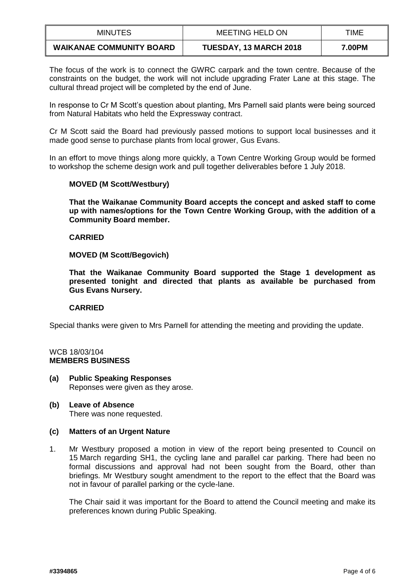| MINUTES                         | <b>MEETING HELD ON</b>        | TIME   |
|---------------------------------|-------------------------------|--------|
| <b>WAIKANAE COMMUNITY BOARD</b> | <b>TUESDAY, 13 MARCH 2018</b> | 7.00PM |

The focus of the work is to connect the GWRC carpark and the town centre. Because of the constraints on the budget, the work will not include upgrading Frater Lane at this stage. The cultural thread project will be completed by the end of June.

In response to Cr M Scott's question about planting, Mrs Parnell said plants were being sourced from Natural Habitats who held the Expressway contract.

Cr M Scott said the Board had previously passed motions to support local businesses and it made good sense to purchase plants from local grower, Gus Evans.

In an effort to move things along more quickly, a Town Centre Working Group would be formed to workshop the scheme design work and pull together deliverables before 1 July 2018.

# **MOVED (M Scott/Westbury)**

**That the Waikanae Community Board accepts the concept and asked staff to come up with names/options for the Town Centre Working Group, with the addition of a Community Board member.** 

# **CARRIED**

**MOVED (M Scott/Begovich)**

**That the Waikanae Community Board supported the Stage 1 development as presented tonight and directed that plants as available be purchased from Gus Evans Nursery.**

# **CARRIED**

Special thanks were given to Mrs Parnell for attending the meeting and providing the update.

### WCB 18/03/104 **MEMBERS BUSINESS**

**(a) Public Speaking Responses** Reponses were given as they arose.

### **(b) Leave of Absence** There was none requested.

# **(c) Matters of an Urgent Nature**

1. Mr Westbury proposed a motion in view of the report being presented to Council on 15 March regarding SH1, the cycling lane and parallel car parking. There had been no formal discussions and approval had not been sought from the Board, other than briefings. Mr Westbury sought amendment to the report to the effect that the Board was not in favour of parallel parking or the cycle-lane.

The Chair said it was important for the Board to attend the Council meeting and make its preferences known during Public Speaking.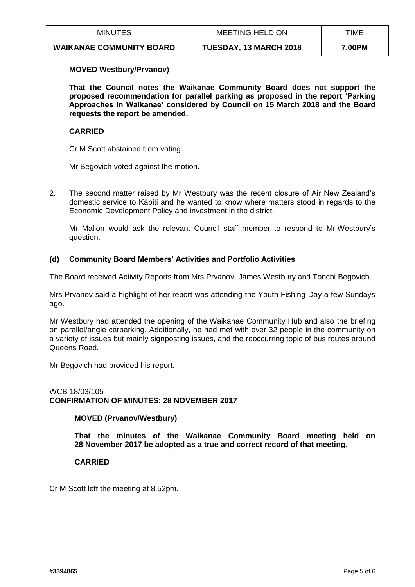| <b>MINUTES</b>                  | MEETING HELD ON               | TIME   |
|---------------------------------|-------------------------------|--------|
| <b>WAIKANAE COMMUNITY BOARD</b> | <b>TUESDAY, 13 MARCH 2018</b> | 7.00PM |

# **MOVED Westbury/Prvanov)**

**That the Council notes the Waikanae Community Board does not support the proposed recommendation for parallel parking as proposed in the report 'Parking Approaches in Waikanae' considered by Council on 15 March 2018 and the Board requests the report be amended.** 

# **CARRIED**

Cr M Scott abstained from voting.

Mr Begovich voted against the motion.

2. The second matter raised by Mr Westbury was the recent closure of Air New Zealand's domestic service to Kāpiti and he wanted to know where matters stood in regards to the Economic Development Policy and investment in the district.

Mr Mallon would ask the relevant Council staff member to respond to Mr Westbury's question.

# **(d) Community Board Members' Activities and Portfolio Activities**

The Board received Activity Reports from Mrs Prvanov, James Westbury and Tonchi Begovich.

Mrs Prvanov said a highlight of her report was attending the Youth Fishing Day a few Sundays ago.

Mr Westbury had attended the opening of the Waikanae Community Hub and also the briefing on parallel/angle carparking. Additionally, he had met with over 32 people in the community on a variety of issues but mainly signposting issues, and the reoccurring topic of bus routes around Queens Road.

Mr Begovich had provided his report.

# WCB 18/03/105 **CONFIRMATION OF MINUTES: 28 NOVEMBER 2017**

# **MOVED (Prvanov/Westbury)**

**That the minutes of the Waikanae Community Board meeting held on 28 November 2017 be adopted as a true and correct record of that meeting.** 

# **CARRIED**

Cr M Scott left the meeting at 8.52pm.